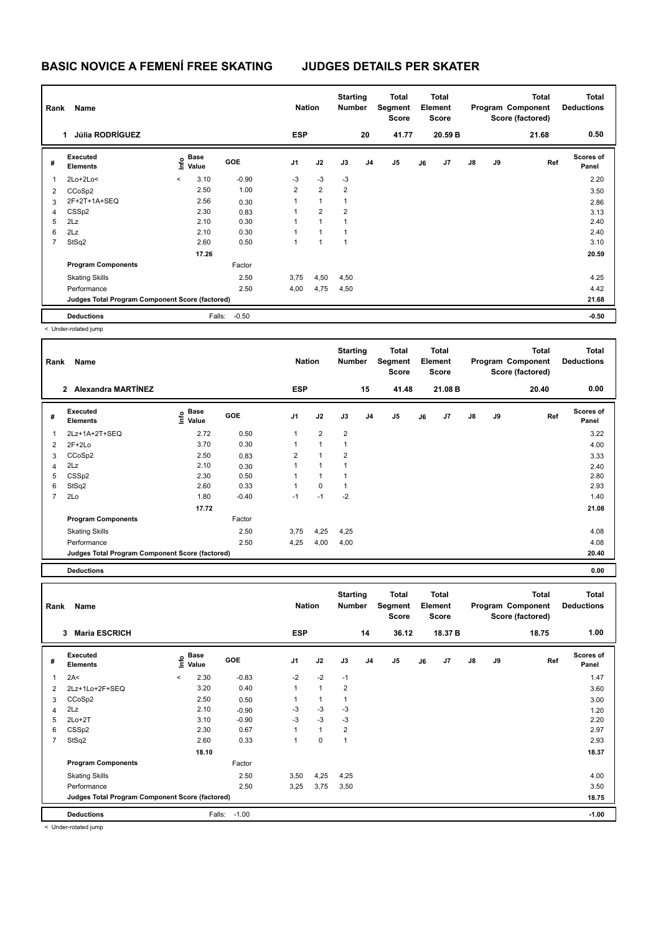| Rank           | Name<br><b>Júlia RODRÍGUEZ</b>                  |         |                      | <b>Nation</b> |                | <b>Starting</b><br><b>Number</b> |                | <b>Total</b><br>Segment<br><b>Score</b> |       | <b>Total</b><br>Element<br><b>Score</b> |                |               | <b>Total</b><br>Program Component<br>Score (factored) | Total<br><b>Deductions</b> |                    |
|----------------|-------------------------------------------------|---------|----------------------|---------------|----------------|----------------------------------|----------------|-----------------------------------------|-------|-----------------------------------------|----------------|---------------|-------------------------------------------------------|----------------------------|--------------------|
|                |                                                 |         |                      |               | <b>ESP</b>     |                                  |                | 20                                      | 41.77 |                                         | 20.59 B        |               |                                                       | 21.68                      | 0.50               |
| #              | Executed<br><b>Elements</b>                     | Info    | <b>Base</b><br>Value | <b>GOE</b>    | J <sub>1</sub> | J2                               | J3             | J <sub>4</sub>                          | J5    | J6                                      | J <sub>7</sub> | $\mathsf{J}8$ | J9                                                    | Ref                        | Scores of<br>Panel |
| $\overline{1}$ | $2Lo+2Lo<$                                      | $\prec$ | 3.10                 | $-0.90$       | $-3$           | $-3$                             | $-3$           |                                         |       |                                         |                |               |                                                       |                            | 2.20               |
| 2              | CCoSp2                                          |         | 2.50                 | 1.00          | $\overline{2}$ | $\overline{2}$                   | $\overline{2}$ |                                         |       |                                         |                |               |                                                       |                            | 3.50               |
| 3              | 2F+2T+1A+SEQ                                    |         | 2.56                 | 0.30          | 1              | $\mathbf{1}$                     | 1              |                                         |       |                                         |                |               |                                                       |                            | 2.86               |
| 4              | CSS <sub>p2</sub>                               |         | 2.30                 | 0.83          | 1              | $\overline{2}$                   | $\overline{2}$ |                                         |       |                                         |                |               |                                                       |                            | 3.13               |
| 5              | 2Lz                                             |         | 2.10                 | 0.30          | 1              | 1                                | 1              |                                         |       |                                         |                |               |                                                       |                            | 2.40               |
| 6              | 2Lz                                             |         | 2.10                 | 0.30          | 1              | 1                                | $\mathbf{1}$   |                                         |       |                                         |                |               |                                                       |                            | 2.40               |
| $\overline{7}$ | StSq2                                           |         | 2.60                 | 0.50          | 1              | 1                                | 1              |                                         |       |                                         |                |               |                                                       |                            | 3.10               |
|                |                                                 |         | 17.26                |               |                |                                  |                |                                         |       |                                         |                |               |                                                       |                            | 20.59              |
|                | <b>Program Components</b>                       |         |                      | Factor        |                |                                  |                |                                         |       |                                         |                |               |                                                       |                            |                    |
|                | <b>Skating Skills</b>                           |         |                      | 2.50          | 3,75           | 4,50                             | 4,50           |                                         |       |                                         |                |               |                                                       |                            | 4.25               |
|                | Performance                                     |         |                      | 2.50          | 4,00           | 4,75                             | 4,50           |                                         |       |                                         |                |               |                                                       |                            | 4.42               |
|                | Judges Total Program Component Score (factored) |         |                      |               |                |                                  |                |                                         |       |                                         |                |               |                                                       |                            | 21.68              |
|                | <b>Deductions</b>                               |         | Falls:               | $-0.50$       |                |                                  |                |                                         |       |                                         |                |               |                                                       |                            | $-0.50$            |

< Under-rotated jump

| Rank           | Name                                            |                                    |            | <b>Nation</b>  |                | <b>Starting</b><br><b>Number</b> |                | Total<br>Segment<br>Score |    | <b>Total</b><br>Element<br><b>Score</b> |               |    | <b>Total</b><br>Program Component<br>Score (factored) | <b>Total</b><br><b>Deductions</b> |
|----------------|-------------------------------------------------|------------------------------------|------------|----------------|----------------|----------------------------------|----------------|---------------------------|----|-----------------------------------------|---------------|----|-------------------------------------------------------|-----------------------------------|
|                | Alexandra MARTÍNEZ<br>$\mathbf{2}$              |                                    |            | <b>ESP</b>     |                |                                  | 15             | 41.48                     |    | 21.08 B                                 |               |    | 20.40                                                 | 0.00                              |
| #              | Executed<br><b>Elements</b>                     | <b>Base</b><br>$\frac{6}{5}$ Value | <b>GOE</b> | J <sub>1</sub> | J2             | J3                               | J <sub>4</sub> | J <sub>5</sub>            | J6 | J7                                      | $\mathsf{J}8$ | J9 | Ref                                                   | <b>Scores of</b><br>Panel         |
| 1              | 2Lz+1A+2T+SEQ                                   | 2.72                               | 0.50       | 1              | $\overline{2}$ | $\overline{2}$                   |                |                           |    |                                         |               |    |                                                       | 3.22                              |
| 2              | $2F+2Lo$                                        | 3.70                               | 0.30       | 1              | 1              | $\mathbf{1}$                     |                |                           |    |                                         |               |    |                                                       | 4.00                              |
| 3              | CCoSp2                                          | 2.50                               | 0.83       | $\overline{2}$ | 1              | $\overline{2}$                   |                |                           |    |                                         |               |    |                                                       | 3.33                              |
| 4              | 2Lz                                             | 2.10                               | 0.30       | 1              | 1              | 1                                |                |                           |    |                                         |               |    |                                                       | 2.40                              |
| 5              | CSSp2                                           | 2.30                               | 0.50       | $\mathbf 1$    | 1              | 1                                |                |                           |    |                                         |               |    |                                                       | 2.80                              |
| 6              | StSq2                                           | 2.60                               | 0.33       | 1              | $\mathbf 0$    | 1                                |                |                           |    |                                         |               |    |                                                       | 2.93                              |
| $\overline{7}$ | 2Lo                                             | 1.80                               | $-0.40$    | $-1$           | $-1$           | $-2$                             |                |                           |    |                                         |               |    |                                                       | 1.40                              |
|                |                                                 | 17.72                              |            |                |                |                                  |                |                           |    |                                         |               |    |                                                       | 21.08                             |
|                | <b>Program Components</b>                       |                                    | Factor     |                |                |                                  |                |                           |    |                                         |               |    |                                                       |                                   |
|                | <b>Skating Skills</b>                           |                                    | 2.50       | 3,75           | 4,25           | 4,25                             |                |                           |    |                                         |               |    |                                                       | 4.08                              |
|                | Performance                                     |                                    | 2.50       | 4,25           | 4,00           | 4,00                             |                |                           |    |                                         |               |    |                                                       | 4.08                              |
|                | Judges Total Program Component Score (factored) |                                    |            |                |                |                                  |                |                           |    |                                         |               |    |                                                       | 20.40                             |
|                |                                                 |                                    |            |                |                |                                  |                |                           |    |                                         |               |    |                                                       |                                   |

**Deductions 0.00**

| Rank                    | Name                                            |         |               |         | <b>Nation</b>  |              | <b>Starting</b><br><b>Number</b> |                | Total<br>Segment<br>Score |    | <b>Total</b><br>Element<br><b>Score</b> |               |    | <b>Total</b><br>Program Component<br>Score (factored) | <b>Total</b><br><b>Deductions</b> |
|-------------------------|-------------------------------------------------|---------|---------------|---------|----------------|--------------|----------------------------------|----------------|---------------------------|----|-----------------------------------------|---------------|----|-------------------------------------------------------|-----------------------------------|
|                         | <b>María ESCRICH</b><br>3                       |         |               |         | <b>ESP</b>     |              |                                  | 14             | 36.12                     |    | 18.37 B                                 |               |    | 18.75                                                 | 1.00                              |
| #                       | Executed<br><b>Elements</b>                     | ١nf٥    | Base<br>Value | GOE     | J <sub>1</sub> | J2           | J3                               | J <sub>4</sub> | J <sub>5</sub>            | J6 | J7                                      | $\mathsf{J}8$ | J9 | Ref                                                   | <b>Scores of</b><br>Panel         |
| $\overline{\mathbf{1}}$ | 2A<                                             | $\prec$ | 2.30          | $-0.83$ | $-2$           | $-2$         | $-1$                             |                |                           |    |                                         |               |    |                                                       | 1.47                              |
| $\overline{2}$          | 2Lz+1Lo+2F+SEQ                                  |         | 3.20          | 0.40    | $\mathbf{1}$   | $\mathbf{1}$ | $\overline{2}$                   |                |                           |    |                                         |               |    |                                                       | 3.60                              |
| 3                       | CCoSp2                                          |         | 2.50          | 0.50    | 1              | 1            | $\mathbf{1}$                     |                |                           |    |                                         |               |    |                                                       | 3.00                              |
| 4                       | 2Lz                                             |         | 2.10          | $-0.90$ | $-3$           | $-3$         | $-3$                             |                |                           |    |                                         |               |    |                                                       | 1.20                              |
| 5                       | $2Lo+2T$                                        |         | 3.10          | $-0.90$ | $-3$           | $-3$         | $-3$                             |                |                           |    |                                         |               |    |                                                       | 2.20                              |
| 6                       | CSSp2                                           |         | 2.30          | 0.67    | 1              | $\mathbf{1}$ | $\overline{2}$                   |                |                           |    |                                         |               |    |                                                       | 2.97                              |
| 7                       | StSq2                                           |         | 2.60          | 0.33    | 1              | $\mathbf 0$  | 1                                |                |                           |    |                                         |               |    |                                                       | 2.93                              |
|                         |                                                 |         | 18.10         |         |                |              |                                  |                |                           |    |                                         |               |    |                                                       | 18.37                             |
|                         | <b>Program Components</b>                       |         |               | Factor  |                |              |                                  |                |                           |    |                                         |               |    |                                                       |                                   |
|                         | <b>Skating Skills</b>                           |         |               | 2.50    | 3,50           | 4,25         | 4,25                             |                |                           |    |                                         |               |    |                                                       | 4.00                              |
|                         | Performance                                     |         |               | 2.50    | 3,25           | 3,75         | 3,50                             |                |                           |    |                                         |               |    |                                                       | 3.50                              |
|                         | Judges Total Program Component Score (factored) |         |               |         |                |              |                                  |                |                           |    |                                         |               |    |                                                       | 18.75                             |
|                         | <b>Deductions</b>                               |         | Falls:        | $-1.00$ |                |              |                                  |                |                           |    |                                         |               |    |                                                       | $-1.00$                           |

< Under-rotated jump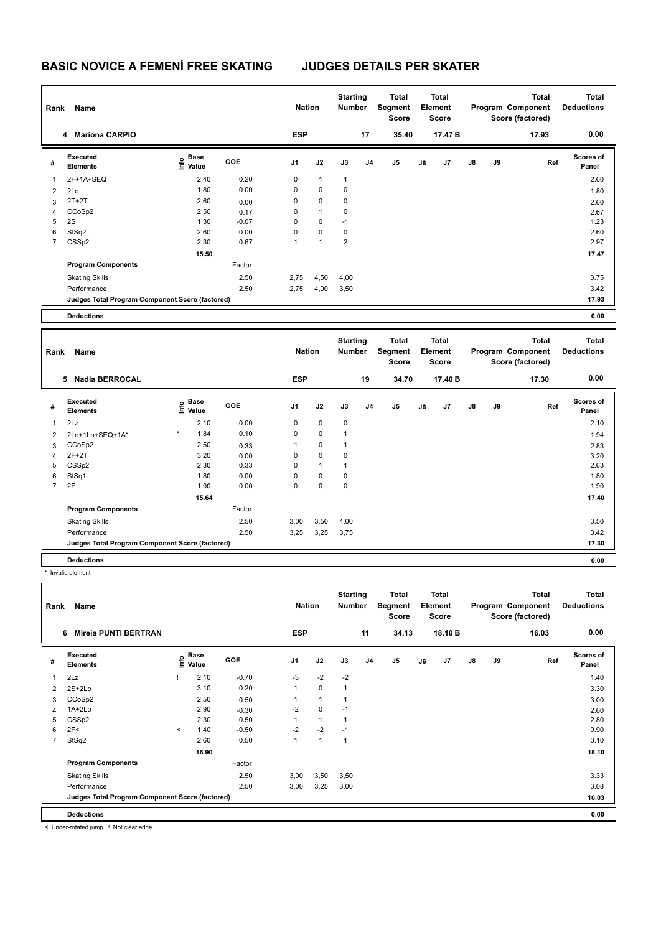| Rank           | Name                                            |                                  |            | <b>Nation</b>  |              | <b>Starting</b><br><b>Number</b> |                | <b>Total</b><br><b>Segment</b><br><b>Score</b> |    | <b>Total</b><br>Element<br><b>Score</b> |    |    | <b>Total</b><br>Program Component<br>Score (factored) | <b>Total</b><br><b>Deductions</b> |
|----------------|-------------------------------------------------|----------------------------------|------------|----------------|--------------|----------------------------------|----------------|------------------------------------------------|----|-----------------------------------------|----|----|-------------------------------------------------------|-----------------------------------|
|                | 4 Mariona CARPIO                                |                                  |            | <b>ESP</b>     |              |                                  | 17             | 35.40                                          |    | 17.47 B                                 |    |    | 17.93                                                 | 0.00                              |
| #              | Executed<br><b>Elements</b>                     | <b>Base</b><br>o Base<br>⊆ Value | <b>GOE</b> | J <sub>1</sub> | J2           | J3                               | J <sub>4</sub> | J <sub>5</sub>                                 | J6 | J7                                      | J8 | J9 | Ref                                                   | Scores of<br>Panel                |
| $\mathbf{1}$   | 2F+1A+SEQ                                       | 2.40                             | 0.20       | 0              | $\mathbf{1}$ | $\mathbf{1}$                     |                |                                                |    |                                         |    |    |                                                       | 2.60                              |
| $\overline{2}$ | 2Lo                                             | 1.80                             | 0.00       | 0              | 0            | 0                                |                |                                                |    |                                         |    |    |                                                       | 1.80                              |
| 3              | $2T+2T$                                         | 2.60                             | 0.00       | 0              | 0            | 0                                |                |                                                |    |                                         |    |    |                                                       | 2.60                              |
| 4              | CCoSp2                                          | 2.50                             | 0.17       | 0              | $\mathbf{1}$ | 0                                |                |                                                |    |                                         |    |    |                                                       | 2.67                              |
| 5              | 2S                                              | 1.30                             | $-0.07$    | 0              | $\Omega$     | $-1$                             |                |                                                |    |                                         |    |    |                                                       | 1.23                              |
| 6              | StSq2                                           | 2.60                             | 0.00       | 0              | 0            | 0                                |                |                                                |    |                                         |    |    |                                                       | 2.60                              |
| $\overline{7}$ | CSSp2                                           | 2.30                             | 0.67       | $\mathbf{1}$   | $\mathbf{1}$ | $\overline{\mathbf{c}}$          |                |                                                |    |                                         |    |    |                                                       | 2.97                              |
|                |                                                 | 15.50                            |            |                |              |                                  |                |                                                |    |                                         |    |    |                                                       | 17.47                             |
|                | <b>Program Components</b>                       |                                  | Factor     |                |              |                                  |                |                                                |    |                                         |    |    |                                                       |                                   |
|                | <b>Skating Skills</b>                           |                                  | 2.50       | 2,75           | 4,50         | 4,00                             |                |                                                |    |                                         |    |    |                                                       | 3.75                              |
|                | Performance                                     |                                  | 2.50       | 2,75           | 4,00         | 3,50                             |                |                                                |    |                                         |    |    |                                                       | 3.42                              |
|                | Judges Total Program Component Score (factored) |                                  |            |                |              |                                  |                |                                                |    |                                         |    |    |                                                       | 17.93                             |
|                | <b>Deductions</b>                               |                                  |            |                |              |                                  |                |                                                |    |                                         |    |    |                                                       | 0.00                              |
|                |                                                 |                                  |            |                |              |                                  |                |                                                |    |                                         |    |    |                                                       |                                   |
|                |                                                 |                                  |            |                |              |                                  |                |                                                |    |                                         |    |    |                                                       |                                   |
| Rank           | Name                                            |                                  |            | <b>Nation</b>  |              | <b>Starting</b><br>Number        |                | <b>Total</b><br>Segment<br><b>Score</b>        |    | <b>Total</b><br>Element<br>Score        |    |    | <b>Total</b><br>Program Component<br>Score (factored) | <b>Total</b><br><b>Deductions</b> |
|                | 5 Nadia BERROCAL                                |                                  |            | <b>ESP</b>     |              |                                  | 19             | 34.70                                          |    | 17.40 B                                 |    |    | 17.30                                                 | 0.00                              |
| #              | Executed<br><b>Elements</b>                     | <b>Base</b><br>١nf٥<br>Value     | GOE        | J1             | J2           | J3                               | J <sub>4</sub> | J5                                             | J6 | J7                                      | J8 | J9 | Ref                                                   | Scores of<br>Panel                |
| $\mathbf{1}$   | 2Lz                                             | 2.10                             | 0.00       | 0              | 0            | 0                                |                |                                                |    |                                         |    |    |                                                       | 2.10                              |
| $\overline{2}$ | 2Lo+1Lo+SEQ+1A*                                 | 1.84                             | 0.10       | 0              | 0            | $\mathbf{1}$                     |                |                                                |    |                                         |    |    |                                                       | 1.94                              |
| 3              | CCoSp2                                          | 2.50                             | 0.33       | $\mathbf{1}$   | 0            | $\mathbf{1}$                     |                |                                                |    |                                         |    |    |                                                       | 2.83                              |
| $\overline{4}$ | $2F+2T$                                         | 3.20                             | 0.00       | 0              | 0            | $\pmb{0}$                        |                |                                                |    |                                         |    |    |                                                       | 3.20                              |
| 5              | CSSp2                                           | 2.30                             | 0.33       | 0              | $\mathbf{1}$ | $\mathbf{1}$                     |                |                                                |    |                                         |    |    |                                                       | 2.63                              |
| 6              | StSq1                                           | 1.80                             | 0.00       | 0              | 0            | 0                                |                |                                                |    |                                         |    |    |                                                       | 1.80                              |
| $\overline{7}$ | 2F                                              | 1.90                             | 0.00       | 0              | 0            | $\mathbf 0$                      |                |                                                |    |                                         |    |    |                                                       | 1.90                              |
|                |                                                 | 15.64                            |            |                |              |                                  |                |                                                |    |                                         |    |    |                                                       | 17.40                             |
|                | <b>Program Components</b>                       |                                  | Factor     |                |              |                                  |                |                                                |    |                                         |    |    |                                                       |                                   |
|                | <b>Skating Skills</b>                           |                                  | 2.50       | 3,00           | 3,50         | 4,00                             |                |                                                |    |                                         |    |    |                                                       | 3.50                              |
|                | Performance                                     |                                  | 2.50       | 3,25           | 3,25         | 3,75                             |                |                                                |    |                                         |    |    |                                                       | 3.42                              |

\* Invalid element

| Rank | Name                                            |         |                                                  |            | <b>Nation</b>  |              | <b>Starting</b><br><b>Number</b> |                | <b>Total</b><br>Segment<br><b>Score</b> |    | <b>Total</b><br>Element<br><b>Score</b> |    |    | <b>Total</b><br>Program Component<br>Score (factored) | <b>Total</b><br><b>Deductions</b> |
|------|-------------------------------------------------|---------|--------------------------------------------------|------------|----------------|--------------|----------------------------------|----------------|-----------------------------------------|----|-----------------------------------------|----|----|-------------------------------------------------------|-----------------------------------|
|      | <b>Mireia PUNTI BERTRAN</b><br>6                |         |                                                  |            | <b>ESP</b>     |              |                                  | 11             | 34.13                                   |    | 18.10 B                                 |    |    | 16.03                                                 | 0.00                              |
| #    | <b>Executed</b><br><b>Elements</b>              |         | $\mathbf{e}$ Base<br>$\mathbf{e}$ Value<br>Value | <b>GOE</b> | J <sub>1</sub> | J2           | J3                               | J <sub>4</sub> | J <sub>5</sub>                          | J6 | J <sub>7</sub>                          | J8 | J9 | Ref                                                   | Scores of<br>Panel                |
| 1    | 2Lz                                             |         | 2.10                                             | $-0.70$    | $-3$           | $-2$         | $-2$                             |                |                                         |    |                                         |    |    |                                                       | 1.40                              |
| 2    | $2S+2Lo$                                        |         | 3.10                                             | 0.20       | 1              | $\mathbf 0$  | $\mathbf{1}$                     |                |                                         |    |                                         |    |    |                                                       | 3.30                              |
| 3    | CCoSp2                                          |         | 2.50                                             | 0.50       |                | $\mathbf{1}$ |                                  |                |                                         |    |                                         |    |    |                                                       | 3.00                              |
| 4    | 1A+2Lo                                          |         | 2.90                                             | $-0.30$    | $-2$           | $\mathbf 0$  | $-1$                             |                |                                         |    |                                         |    |    |                                                       | 2.60                              |
| 5    | CSSp2                                           |         | 2.30                                             | 0.50       | 1              | $\mathbf{1}$ | 1                                |                |                                         |    |                                         |    |    |                                                       | 2.80                              |
| 6    | 2F<                                             | $\prec$ | 1.40                                             | $-0.50$    | $-2$           | $-2$         | $-1$                             |                |                                         |    |                                         |    |    |                                                       | 0.90                              |
| 7    | StSq2                                           |         | 2.60                                             | 0.50       | 1              | $\mathbf{1}$ | 1                                |                |                                         |    |                                         |    |    |                                                       | 3.10                              |
|      |                                                 |         | 16.90                                            |            |                |              |                                  |                |                                         |    |                                         |    |    |                                                       | 18.10                             |
|      | <b>Program Components</b>                       |         |                                                  | Factor     |                |              |                                  |                |                                         |    |                                         |    |    |                                                       |                                   |
|      | <b>Skating Skills</b>                           |         |                                                  | 2.50       | 3,00           | 3,50         | 3,50                             |                |                                         |    |                                         |    |    |                                                       | 3.33                              |
|      | Performance                                     |         |                                                  | 2.50       | 3,00           | 3,25         | 3,00                             |                |                                         |    |                                         |    |    |                                                       | 3.08                              |
|      | Judges Total Program Component Score (factored) |         |                                                  |            |                |              |                                  |                |                                         |    |                                         |    |    |                                                       | 16.03                             |
|      | <b>Deductions</b>                               |         |                                                  |            |                |              |                                  |                |                                         |    |                                         |    |    |                                                       | 0.00                              |

**Deductions 0.00**

< Under-rotated jump ! Not clear edge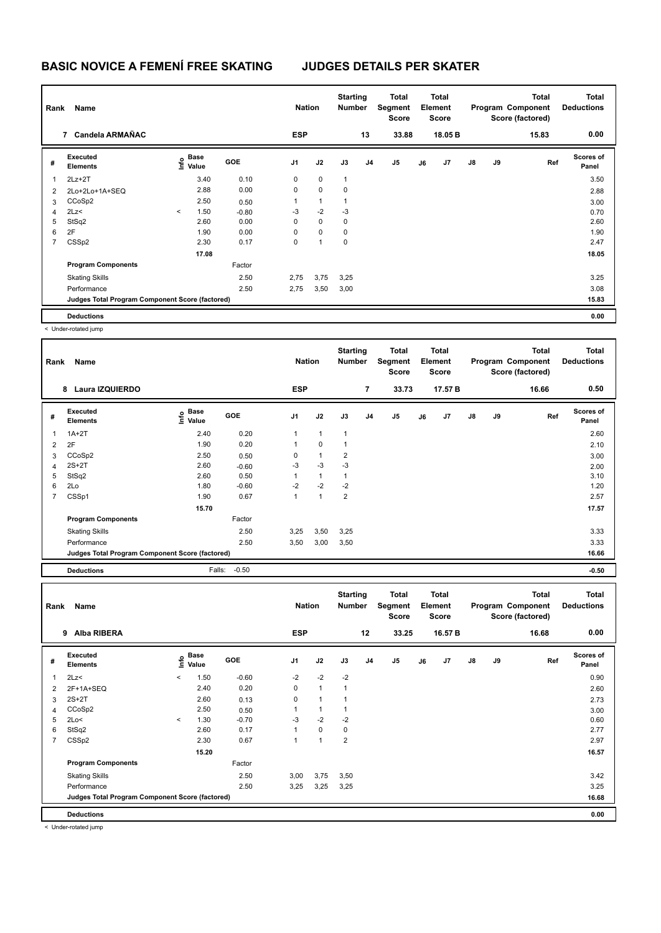| Rank           | Name<br>7 Candela ARMAÑAC                       |         |                           |         | <b>Nation</b>  |              | <b>Starting</b><br><b>Number</b> |                | <b>Total</b><br>Segment<br><b>Score</b> |    | <b>Total</b><br>Element<br><b>Score</b> |               |    | <b>Total</b><br>Program Component<br>Score (factored) | <b>Total</b><br><b>Deductions</b> |
|----------------|-------------------------------------------------|---------|---------------------------|---------|----------------|--------------|----------------------------------|----------------|-----------------------------------------|----|-----------------------------------------|---------------|----|-------------------------------------------------------|-----------------------------------|
|                |                                                 |         |                           |         | <b>ESP</b>     |              |                                  | 13             | 33.88                                   |    | 18.05 B                                 |               |    | 15.83                                                 | 0.00                              |
| #              | Executed<br><b>Elements</b>                     |         | Base<br>o Base<br>⊆ Value | GOE     | J <sub>1</sub> | J2           | J3                               | J <sub>4</sub> | J <sub>5</sub>                          | J6 | J7                                      | $\mathsf{J}8$ | J9 | Ref                                                   | Scores of<br>Panel                |
|                | $2Lz+2T$                                        |         | 3.40                      | 0.10    | 0              | $\mathbf 0$  | $\overline{1}$                   |                |                                         |    |                                         |               |    |                                                       | 3.50                              |
| 2              | 2Lo+2Lo+1A+SEQ                                  |         | 2.88                      | 0.00    | 0              | $\mathbf 0$  | 0                                |                |                                         |    |                                         |               |    |                                                       | 2.88                              |
| 3              | CCoSp2                                          |         | 2.50                      | 0.50    | 1              | $\mathbf{1}$ | 1                                |                |                                         |    |                                         |               |    |                                                       | 3.00                              |
| 4              | 2Lz<                                            | $\prec$ | 1.50                      | $-0.80$ | $-3$           | $-2$         | $-3$                             |                |                                         |    |                                         |               |    |                                                       | 0.70                              |
| 5              | StSq2                                           |         | 2.60                      | 0.00    | $\mathbf 0$    | $\mathbf 0$  | $\mathbf 0$                      |                |                                         |    |                                         |               |    |                                                       | 2.60                              |
| 6              | 2F                                              |         | 1.90                      | 0.00    | 0              | $\mathbf 0$  | 0                                |                |                                         |    |                                         |               |    |                                                       | 1.90                              |
| $\overline{7}$ | CSSp2                                           |         | 2.30                      | 0.17    | 0              | 1            | 0                                |                |                                         |    |                                         |               |    |                                                       | 2.47                              |
|                |                                                 |         | 17.08                     |         |                |              |                                  |                |                                         |    |                                         |               |    |                                                       | 18.05                             |
|                | <b>Program Components</b>                       |         |                           | Factor  |                |              |                                  |                |                                         |    |                                         |               |    |                                                       |                                   |
|                | <b>Skating Skills</b>                           |         |                           | 2.50    | 2,75           | 3,75         | 3,25                             |                |                                         |    |                                         |               |    |                                                       | 3.25                              |
|                | Performance                                     |         |                           | 2.50    | 2,75           | 3,50         | 3,00                             |                |                                         |    |                                         |               |    |                                                       | 3.08                              |
|                | Judges Total Program Component Score (factored) |         |                           |         |                |              |                                  |                |                                         |    |                                         |               |    |                                                       | 15.83                             |
|                | <b>Deductions</b>                               |         |                           |         |                |              |                                  |                |                                         |    |                                         |               |    |                                                       | 0.00                              |

< Under-rotated jump

| Rank | Name                                            |                        |         | <b>Nation</b>  |              | <b>Starting</b><br><b>Number</b> |                | Total<br>Segment<br><b>Score</b> |    | <b>Total</b><br>Element<br><b>Score</b> |               |    | <b>Total</b><br>Program Component<br>Score (factored) | <b>Total</b><br><b>Deductions</b> |
|------|-------------------------------------------------|------------------------|---------|----------------|--------------|----------------------------------|----------------|----------------------------------|----|-----------------------------------------|---------------|----|-------------------------------------------------------|-----------------------------------|
|      | <b>Laura IZQUIERDO</b><br>8                     |                        |         | <b>ESP</b>     |              |                                  | $\overline{7}$ | 33.73                            |    | 17.57 B                                 |               |    | 16.66                                                 | 0.50                              |
| #    | Executed<br><b>Elements</b>                     | $\sum_{i=1}^{n}$ Value | GOE     | J <sub>1</sub> | J2           | J3                               | J <sub>4</sub> | J <sub>5</sub>                   | J6 | J7                                      | $\mathsf{J}8$ | J9 | Ref                                                   | <b>Scores of</b><br>Panel         |
| 1    | $1A+2T$                                         | 2.40                   | 0.20    | 1              | $\mathbf{1}$ | $\mathbf{1}$                     |                |                                  |    |                                         |               |    |                                                       | 2.60                              |
| 2    | 2F                                              | 1.90                   | 0.20    | 1              | $\mathbf 0$  | 1                                |                |                                  |    |                                         |               |    |                                                       | 2.10                              |
| 3    | CCoSp2                                          | 2.50                   | 0.50    | 0              | $\mathbf{1}$ | $\overline{2}$                   |                |                                  |    |                                         |               |    |                                                       | 3.00                              |
| 4    | $2S+2T$                                         | 2.60                   | $-0.60$ | $-3$           | $-3$         | $-3$                             |                |                                  |    |                                         |               |    |                                                       | 2.00                              |
| 5    | StSq2                                           | 2.60                   | 0.50    | 1              | $\mathbf{1}$ | 1                                |                |                                  |    |                                         |               |    |                                                       | 3.10                              |
| 6    | 2Lo                                             | 1.80                   | $-0.60$ | $-2$           | $-2$         | $-2$                             |                |                                  |    |                                         |               |    |                                                       | 1.20                              |
| 7    | CSSp1                                           | 1.90                   | 0.67    | 1              | $\mathbf{1}$ | $\overline{2}$                   |                |                                  |    |                                         |               |    |                                                       | 2.57                              |
|      |                                                 | 15.70                  |         |                |              |                                  |                |                                  |    |                                         |               |    |                                                       | 17.57                             |
|      | <b>Program Components</b>                       |                        | Factor  |                |              |                                  |                |                                  |    |                                         |               |    |                                                       |                                   |
|      | <b>Skating Skills</b>                           |                        | 2.50    | 3,25           | 3,50         | 3,25                             |                |                                  |    |                                         |               |    |                                                       | 3.33                              |
|      | Performance                                     |                        | 2.50    | 3,50           | 3,00         | 3,50                             |                |                                  |    |                                         |               |    |                                                       | 3.33                              |
|      | Judges Total Program Component Score (factored) |                        |         |                |              |                                  |                |                                  |    |                                         |               |    |                                                       | 16.66                             |
|      | <b>Deductions</b>                               | Falls:                 | $-0.50$ |                |              |                                  |                |                                  |    |                                         |               |    |                                                       | $-0.50$                           |

| Rank                    | Name<br>Alba RIBERA<br>9                        |              |               |         |                | <b>Nation</b> | <b>Starting</b><br>Number |                | Total<br>Segment<br><b>Score</b> |    | Total<br>Element<br><b>Score</b> |               |    | <b>Total</b><br>Program Component<br>Score (factored) | <b>Total</b><br><b>Deductions</b> |
|-------------------------|-------------------------------------------------|--------------|---------------|---------|----------------|---------------|---------------------------|----------------|----------------------------------|----|----------------------------------|---------------|----|-------------------------------------------------------|-----------------------------------|
|                         |                                                 |              |               |         | <b>ESP</b>     |               |                           | 12             | 33.25                            |    | 16.57 B                          |               |    | 16.68                                                 | 0.00                              |
| #                       | Executed<br><b>Elements</b>                     | lnfo         | Base<br>Value | GOE     | J <sub>1</sub> | J2            | J3                        | J <sub>4</sub> | J5                               | J6 | J7                               | $\mathsf{J}8$ | J9 | Ref                                                   | <b>Scores of</b><br>Panel         |
| $\overline{\mathbf{1}}$ | 2Lz<                                            | $\checkmark$ | 1.50          | $-0.60$ | $-2$           | $-2$          | $-2$                      |                |                                  |    |                                  |               |    |                                                       | 0.90                              |
| $\overline{2}$          | 2F+1A+SEQ                                       |              | 2.40          | 0.20    | $\mathbf 0$    | $\mathbf{1}$  | $\mathbf{1}$              |                |                                  |    |                                  |               |    |                                                       | 2.60                              |
| 3                       | $2S+2T$                                         |              | 2.60          | 0.13    | $\mathbf 0$    | 1             | $\mathbf{1}$              |                |                                  |    |                                  |               |    |                                                       | 2.73                              |
| 4                       | CCoSp2                                          |              | 2.50          | 0.50    | 1              | $\mathbf{1}$  | 1                         |                |                                  |    |                                  |               |    |                                                       | 3.00                              |
| 5                       | 2Lo<                                            | $\prec$      | 1.30          | $-0.70$ | $-3$           | $-2$          | $-2$                      |                |                                  |    |                                  |               |    |                                                       | 0.60                              |
| 6                       | StSq2                                           |              | 2.60          | 0.17    | 1              | $\mathbf 0$   | 0                         |                |                                  |    |                                  |               |    |                                                       | 2.77                              |
| 7                       | CSS <sub>p2</sub>                               |              | 2.30          | 0.67    | 1              | $\mathbf{1}$  | $\overline{2}$            |                |                                  |    |                                  |               |    |                                                       | 2.97                              |
|                         |                                                 |              | 15.20         |         |                |               |                           |                |                                  |    |                                  |               |    |                                                       | 16.57                             |
|                         | <b>Program Components</b>                       |              |               | Factor  |                |               |                           |                |                                  |    |                                  |               |    |                                                       |                                   |
|                         | <b>Skating Skills</b>                           |              |               | 2.50    | 3,00           | 3,75          | 3,50                      |                |                                  |    |                                  |               |    |                                                       | 3.42                              |
|                         | Performance                                     |              |               | 2.50    | 3,25           | 3,25          | 3,25                      |                |                                  |    |                                  |               |    |                                                       | 3.25                              |
|                         | Judges Total Program Component Score (factored) |              |               |         |                |               |                           |                |                                  |    |                                  |               |    |                                                       | 16.68                             |
|                         | <b>Deductions</b>                               |              |               |         |                |               |                           |                |                                  |    |                                  |               |    |                                                       | 0.00                              |

< Under-rotated jump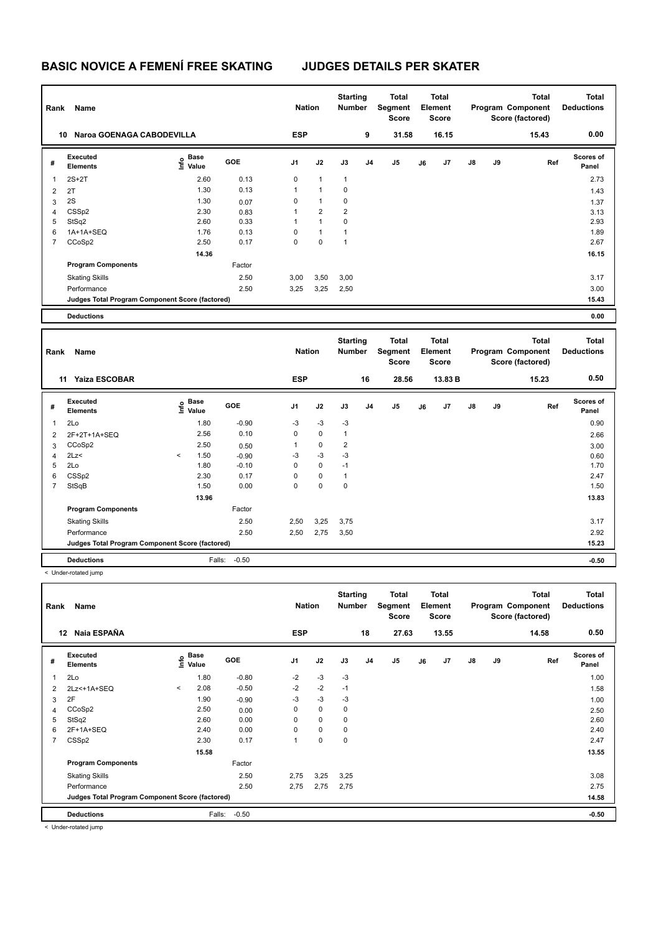| Rank           | Name                                            |                            |         | <b>Nation</b>  |                | <b>Starting</b><br><b>Number</b> |                | <b>Total</b><br>Segment<br><b>Score</b> |    | <b>Total</b><br>Element<br><b>Score</b> |    |    | <b>Total</b><br>Program Component<br>Score (factored) | <b>Total</b><br><b>Deductions</b> |  |
|----------------|-------------------------------------------------|----------------------------|---------|----------------|----------------|----------------------------------|----------------|-----------------------------------------|----|-----------------------------------------|----|----|-------------------------------------------------------|-----------------------------------|--|
|                | Naroa GOENAGA CABODEVILLA<br>10                 |                            |         | <b>ESP</b>     |                |                                  | 9              | 31.58                                   |    | 16.15                                   |    |    | 15.43                                                 | 0.00                              |  |
| #              | Executed<br><b>Elements</b>                     | e Base<br>⊆ Value          | GOE     | J1             | J2             | J3                               | J <sub>4</sub> | J <sub>5</sub>                          | J6 | J7                                      | J8 | J9 | Ref                                                   | Scores of<br>Panel                |  |
| $\mathbf{1}$   | $2S+2T$                                         | 2.60                       | 0.13    | $\mathbf 0$    | $\mathbf{1}$   | $\mathbf{1}$                     |                |                                         |    |                                         |    |    |                                                       | 2.73                              |  |
| $\overline{2}$ | 2T                                              | 1.30                       | 0.13    | $\mathbf{1}$   | $\mathbf{1}$   | 0                                |                |                                         |    |                                         |    |    |                                                       | 1.43                              |  |
| 3              | 2S                                              | 1.30                       | 0.07    | 0              | $\mathbf{1}$   | 0                                |                |                                         |    |                                         |    |    |                                                       | 1.37                              |  |
| 4              | CSSp2                                           | 2.30                       | 0.83    | $\mathbf{1}$   | $\overline{2}$ | $\overline{2}$                   |                |                                         |    |                                         |    |    |                                                       | 3.13                              |  |
| 5              | StSq2                                           | 2.60                       | 0.33    | $\mathbf{1}$   | $\mathbf{1}$   | $\mathbf 0$                      |                |                                         |    |                                         |    |    |                                                       | 2.93                              |  |
| 6              | 1A+1A+SEQ                                       | 1.76                       | 0.13    | 0              | $\mathbf{1}$   | $\mathbf{1}$                     |                |                                         |    |                                         |    |    |                                                       | 1.89                              |  |
| $\overline{7}$ | CCoSp2                                          | 2.50                       | 0.17    | $\mathbf 0$    | $\mathbf 0$    | $\mathbf{1}$                     |                |                                         |    |                                         |    |    |                                                       | 2.67                              |  |
|                |                                                 | 14.36                      |         |                |                |                                  |                |                                         |    |                                         |    |    |                                                       | 16.15                             |  |
|                | <b>Program Components</b>                       |                            | Factor  |                |                |                                  |                |                                         |    |                                         |    |    |                                                       |                                   |  |
|                | <b>Skating Skills</b>                           |                            | 2.50    | 3,00           | 3,50           | 3,00                             |                |                                         |    |                                         |    |    |                                                       | 3.17                              |  |
|                | Performance                                     |                            | 2.50    | 3,25           | 3,25           | 2,50                             |                |                                         |    |                                         |    |    |                                                       | 3.00                              |  |
|                | Judges Total Program Component Score (factored) |                            |         |                |                |                                  |                |                                         |    |                                         |    |    |                                                       | 15.43                             |  |
|                | <b>Deductions</b>                               |                            |         |                |                |                                  |                |                                         |    |                                         |    |    |                                                       | 0.00                              |  |
|                |                                                 |                            |         |                |                |                                  |                |                                         |    |                                         |    |    |                                                       |                                   |  |
|                |                                                 |                            |         |                |                |                                  |                |                                         |    |                                         |    |    |                                                       |                                   |  |
|                |                                                 |                            |         |                |                | <b>Starting</b>                  |                | <b>Total</b>                            |    | <b>Total</b>                            |    |    | <b>Total</b>                                          | <b>Total</b>                      |  |
| Rank           | Name                                            |                            |         | <b>Nation</b>  |                | <b>Number</b>                    |                | <b>Segment</b><br><b>Score</b>          |    | Element<br><b>Score</b>                 |    |    | Program Component                                     | <b>Deductions</b>                 |  |
|                |                                                 |                            |         |                |                |                                  |                |                                         |    |                                         |    |    | Score (factored)                                      |                                   |  |
|                | Yaiza ESCOBAR<br>11                             |                            |         | <b>ESP</b>     |                |                                  | 16             | 28.56                                   |    | 13.83 B                                 |    |    | 15.23                                                 | 0.50                              |  |
| #              | Executed<br><b>Elements</b>                     | <b>Base</b><br>۴è<br>Value | GOE     | J <sub>1</sub> | J2             | J3                               | J <sub>4</sub> | J5                                      | J6 | J <sub>7</sub>                          | J8 | J9 | Ref                                                   | Scores of<br>Panel                |  |
| 1              | 2Lo                                             | 1.80                       | $-0.90$ | -3             | $-3$           | $-3$                             |                |                                         |    |                                         |    |    |                                                       | 0.90                              |  |
| $\overline{2}$ | 2F+2T+1A+SEQ                                    | 2.56                       | 0.10    | $\mathbf 0$    | $\mathbf 0$    | $\mathbf{1}$                     |                |                                         |    |                                         |    |    |                                                       | 2.66                              |  |
| 3              | CCoSp2                                          | 2.50                       | 0.50    | 1              | $\pmb{0}$      | $\overline{2}$                   |                |                                         |    |                                         |    |    |                                                       | 3.00                              |  |
| $\overline{4}$ | 2Lz                                             | 1.50<br>$\,<$              | $-0.90$ | $-3$           | $-3$           | -3                               |                |                                         |    |                                         |    |    |                                                       | 0.60                              |  |
| 5              | 2Lo                                             | 1.80                       | $-0.10$ | $\mathbf 0$    | $\pmb{0}$      | $-1$                             |                |                                         |    |                                         |    |    |                                                       | 1.70                              |  |
| 6              | CSSp2                                           | 2.30                       | 0.17    | $\mathbf 0$    | $\pmb{0}$      | $\mathbf{1}$                     |                |                                         |    |                                         |    |    |                                                       | 2.47                              |  |
| $\overline{7}$ | StSqB                                           | 1.50                       | 0.00    | $\mathbf 0$    | $\mathbf 0$    | $\mathbf 0$                      |                |                                         |    |                                         |    |    |                                                       | 1.50                              |  |
|                |                                                 | 13.96                      |         |                |                |                                  |                |                                         |    |                                         |    |    |                                                       | 13.83                             |  |
|                | <b>Program Components</b>                       |                            | Factor  |                |                |                                  |                |                                         |    |                                         |    |    |                                                       |                                   |  |
|                | <b>Skating Skills</b>                           |                            | 2.50    | 2,50           | 3,25           | 3,75                             |                |                                         |    |                                         |    |    |                                                       | 3.17                              |  |
|                | Performance                                     |                            | 2.50    | 2,50           | 2,75           | 3,50                             |                |                                         |    |                                         |    |    |                                                       | 2.92                              |  |

< Under-rotated jump

**Total Deductions Total Program Component Score (factored) Total Element Segment Score Total Score Starting Rank Name Nation Number # Executed Elements Base Value GOE J1 J2 J3 J4 J5 J6 J7 J8 J9 Scores of Panel** 1 1.80 -0.80 -2 -3 -3 **Ref**  ستان کا براہ ہے کہ ایک ایک 11 اور 12 سالہ کا ایک 12 اور 1.80 metal of the Scotes of Panel<br>2Lo 1.00 1.80 −0.80 −2 −3 −3 −3<br>2Lo 1.00 1.00 −0.80 −2 −3 −3  **12 Naia ESPAÑA ESP 18 27.63 13.55 14.58 0.50** 2 2Lz<+1A+SEQ < 2.08 -0.50 -2 -2 -1 1.58  $3$  2F  $1.90$   $-0.90$   $-3$   $-3$   $-3$ 4 CCoSp2 2.50 0.00 0 0 0 2.50 5 StSq2 2.60 0.00 0 0 0 2.60 6 2F+1A+SEQ 2.40 0.00 0 0 0 2.40 7 CSSp2 2.30 0.17 1 0 0 2.47  **15.58** 13.55 **Program Components**  Skating Skills 2,75 3,25 3,25 2.50 3.08 Factor Performance 2.50 2,75 2,75 2,75 2.75 **Deductions** Falls: -0.50 **-0.50 Judges Total Program Component Score (factored) 14.58**

**Deductions** Falls: -0.50 **-0.50**

< Under-rotated jump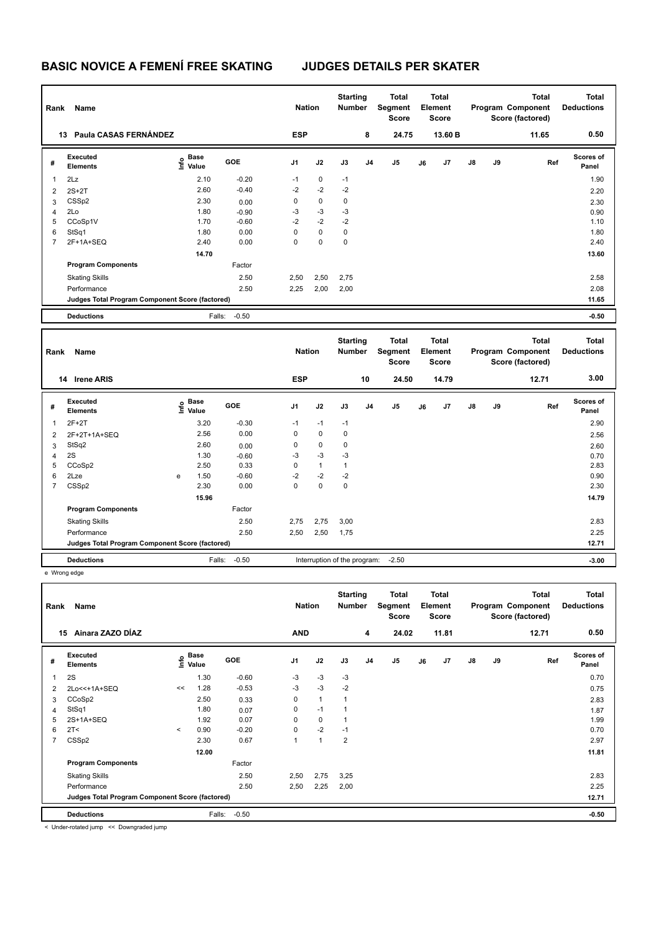| Rank           | Name                                            |   |                           |                 | <b>Nation</b> |              | <b>Starting</b><br>Number        |    | <b>Total</b><br>Segment<br><b>Score</b> |    | <b>Total</b><br>Element<br><b>Score</b> |    |    | <b>Total</b><br>Program Component<br>Score (factored) |     | <b>Total</b><br><b>Deductions</b> |
|----------------|-------------------------------------------------|---|---------------------------|-----------------|---------------|--------------|----------------------------------|----|-----------------------------------------|----|-----------------------------------------|----|----|-------------------------------------------------------|-----|-----------------------------------|
|                | 13 Paula CASAS FERNÁNDEZ                        |   |                           |                 | <b>ESP</b>    |              |                                  | 8  | 24.75                                   |    | 13.60 B                                 |    |    | 11.65                                                 |     | 0.50                              |
| #              | Executed<br><b>Elements</b>                     |   | Base<br>o Base<br>⊆ Value | GOE             | J1            | J2           | J3                               | J4 | J5                                      | J6 | J7                                      | J8 | J9 |                                                       | Ref | <b>Scores of</b><br>Panel         |
| 1              | 2Lz                                             |   | 2.10                      | $-0.20$         | $-1$          | 0            | $-1$                             |    |                                         |    |                                         |    |    |                                                       |     | 1.90                              |
| $\overline{2}$ | $2S+2T$                                         |   | 2.60                      | $-0.40$         | $-2$          | $-2$         | $-2$                             |    |                                         |    |                                         |    |    |                                                       |     | 2.20                              |
| 3              | CSSp2                                           |   | 2.30                      | 0.00            | $\mathsf 0$   | $\pmb{0}$    | 0                                |    |                                         |    |                                         |    |    |                                                       |     | 2.30                              |
| 4              | 2Lo                                             |   | 1.80                      | $-0.90$         | $-3$          | $-3$         | $-3$                             |    |                                         |    |                                         |    |    |                                                       |     | 0.90                              |
| 5              | CCoSp1V                                         |   | 1.70                      | $-0.60$         | $-2$          | $-2$         | $-2$                             |    |                                         |    |                                         |    |    |                                                       |     | 1.10                              |
| 6              | StSq1                                           |   | 1.80                      | 0.00            | $\mathbf 0$   | 0            | 0                                |    |                                         |    |                                         |    |    |                                                       |     | 1.80                              |
| $\overline{7}$ | 2F+1A+SEQ                                       |   | 2.40                      | 0.00            | $\mathbf 0$   | $\mathbf 0$  | 0                                |    |                                         |    |                                         |    |    |                                                       |     | 2.40                              |
|                |                                                 |   | 14.70                     |                 |               |              |                                  |    |                                         |    |                                         |    |    |                                                       |     | 13.60                             |
|                | <b>Program Components</b>                       |   |                           | Factor          |               |              |                                  |    |                                         |    |                                         |    |    |                                                       |     |                                   |
|                | <b>Skating Skills</b>                           |   |                           | 2.50            | 2,50          | 2,50         | 2,75                             |    |                                         |    |                                         |    |    |                                                       |     | 2.58                              |
|                | Performance                                     |   |                           | 2.50            | 2,25          | 2,00         | 2,00                             |    |                                         |    |                                         |    |    |                                                       |     | 2.08                              |
|                | Judges Total Program Component Score (factored) |   |                           |                 |               |              |                                  |    |                                         |    |                                         |    |    |                                                       |     | 11.65                             |
|                | <b>Deductions</b>                               |   | Falls:                    | $-0.50$         |               |              |                                  |    |                                         |    |                                         |    |    |                                                       |     | $-0.50$                           |
|                |                                                 |   |                           |                 |               |              |                                  |    |                                         |    |                                         |    |    |                                                       |     |                                   |
|                |                                                 |   |                           |                 |               |              |                                  |    |                                         |    |                                         |    |    |                                                       |     |                                   |
| Rank           | Name                                            |   |                           |                 | <b>Nation</b> |              | <b>Starting</b><br><b>Number</b> |    | <b>Total</b><br>Segment<br>Score        |    | <b>Total</b><br>Element<br><b>Score</b> |    |    | <b>Total</b><br>Program Component<br>Score (factored) |     | <b>Total</b><br><b>Deductions</b> |
|                | 14 Irene ARIS                                   |   |                           |                 | <b>ESP</b>    |              |                                  | 10 | 24.50                                   |    | 14.79                                   |    |    | 12.71                                                 |     | 3.00                              |
| #              | Executed<br><b>Elements</b>                     |   | e Base<br>E Value         | GOE             | J1            | J2           | J3                               | J4 | J <sub>5</sub>                          | J6 | J7                                      | J8 | J9 |                                                       | Ref | <b>Scores of</b><br>Panel         |
| 1              | $2F+2T$                                         |   | 3.20                      | $-0.30$         | $-1$          | $-1$         | $-1$                             |    |                                         |    |                                         |    |    |                                                       |     | 2.90                              |
| 2              | 2F+2T+1A+SEQ                                    |   | 2.56                      | 0.00            | 0             | 0            | 0                                |    |                                         |    |                                         |    |    |                                                       |     | 2.56                              |
|                | StSq2                                           |   | 2.60                      |                 | 0             | 0            | 0                                |    |                                         |    |                                         |    |    |                                                       |     |                                   |
| 3<br>4         | 2S                                              |   | 1.30                      | 0.00<br>$-0.60$ | $-3$          | $-3$         | $-3$                             |    |                                         |    |                                         |    |    |                                                       |     | 2.60<br>0.70                      |
| 5              | CCoSp2                                          |   | 2.50                      | 0.33            | 0             | $\mathbf{1}$ | $\mathbf{1}$                     |    |                                         |    |                                         |    |    |                                                       |     | 2.83                              |
| 6              | 2Lze                                            | e | 1.50                      | $-0.60$         | $-2$          | $-2$         | $-2$                             |    |                                         |    |                                         |    |    |                                                       |     | 0.90                              |
| $\overline{7}$ | CSSp2                                           |   | 2.30                      | 0.00            | $\mathbf 0$   | $\mathbf 0$  | 0                                |    |                                         |    |                                         |    |    |                                                       |     | 2.30                              |
|                |                                                 |   | 15.96                     |                 |               |              |                                  |    |                                         |    |                                         |    |    |                                                       |     | 14.79                             |
|                | <b>Program Components</b>                       |   |                           | Factor          |               |              |                                  |    |                                         |    |                                         |    |    |                                                       |     |                                   |
|                | <b>Skating Skills</b>                           |   |                           | 2.50            | 2,75          | 2,75         | 3,00                             |    |                                         |    |                                         |    |    |                                                       |     | 2.83                              |
|                | Performance                                     |   |                           | 2.50            | 2,50          | 2,50         | 1,75                             |    |                                         |    |                                         |    |    |                                                       |     | 2.25                              |
|                | Judges Total Program Component Score (factored) |   |                           |                 |               |              |                                  |    |                                         |    |                                         |    |    |                                                       |     | 12.71                             |

e Wrong edge

| Rank | Name                                            | <b>Nation</b>            |                                  | <b>Starting</b><br><b>Number</b> |                | <b>Total</b><br>Segment<br><b>Score</b> |      | <b>Total</b><br>Element<br><b>Score</b> |       |    | <b>Total</b><br>Program Component<br>Score (factored) | <b>Total</b><br><b>Deductions</b> |    |       |                           |
|------|-------------------------------------------------|--------------------------|----------------------------------|----------------------------------|----------------|-----------------------------------------|------|-----------------------------------------|-------|----|-------------------------------------------------------|-----------------------------------|----|-------|---------------------------|
| 15   | Ainara ZAZO DÍAZ                                |                          |                                  |                                  | <b>AND</b>     |                                         |      | 4                                       | 24.02 |    | 11.81                                                 |                                   |    | 12.71 | 0.50                      |
| #    | Executed<br><b>Elements</b>                     |                          | <b>Base</b><br>e Base<br>E Value | GOE                              | J <sub>1</sub> | J2                                      | J3   | J <sub>4</sub>                          | J5    | J6 | J7                                                    | $\mathsf{J}8$                     | J9 | Ref   | <b>Scores of</b><br>Panel |
| 1    | 2S                                              |                          | 1.30                             | $-0.60$                          | $-3$           | $-3$                                    | $-3$ |                                         |       |    |                                                       |                                   |    |       | 0.70                      |
| 2    | 2Lo<<+1A+SEQ                                    | <<                       | 1.28                             | $-0.53$                          | $-3$           | $-3$                                    | $-2$ |                                         |       |    |                                                       |                                   |    |       | 0.75                      |
| 3    | CCoSp2                                          |                          | 2.50                             | 0.33                             | 0              | 1                                       |      |                                         |       |    |                                                       |                                   |    |       | 2.83                      |
| 4    | StSq1                                           |                          | 1.80                             | 0.07                             | 0              | $-1$                                    |      |                                         |       |    |                                                       |                                   |    |       | 1.87                      |
| 5    | 2S+1A+SEQ                                       |                          | 1.92                             | 0.07                             | $\Omega$       | 0                                       |      |                                         |       |    |                                                       |                                   |    |       | 1.99                      |
| 6    | 2T <                                            | $\overline{\phantom{a}}$ | 0.90                             | $-0.20$                          | 0              | $-2$                                    | $-1$ |                                         |       |    |                                                       |                                   |    |       | 0.70                      |
| 7    | CSSp2                                           |                          | 2.30                             | 0.67                             | 1              | $\blacktriangleleft$                    | 2    |                                         |       |    |                                                       |                                   |    |       | 2.97                      |
|      |                                                 |                          | 12.00                            |                                  |                |                                         |      |                                         |       |    |                                                       |                                   |    |       | 11.81                     |
|      | <b>Program Components</b>                       |                          |                                  | Factor                           |                |                                         |      |                                         |       |    |                                                       |                                   |    |       |                           |
|      | <b>Skating Skills</b>                           |                          |                                  | 2.50                             | 2,50           | 2,75                                    | 3,25 |                                         |       |    |                                                       |                                   |    |       | 2.83                      |
|      | Performance                                     |                          |                                  | 2.50                             | 2,50           | 2,25                                    | 2,00 |                                         |       |    |                                                       |                                   |    |       | 2.25                      |
|      | Judges Total Program Component Score (factored) |                          |                                  |                                  |                |                                         |      |                                         |       |    |                                                       |                                   |    |       | 12.71                     |
|      | <b>Deductions</b>                               |                          | Falls:                           | $-0.50$                          |                |                                         |      |                                         |       |    |                                                       |                                   |    |       | $-0.50$                   |

< Under-rotated jump << Downgraded jump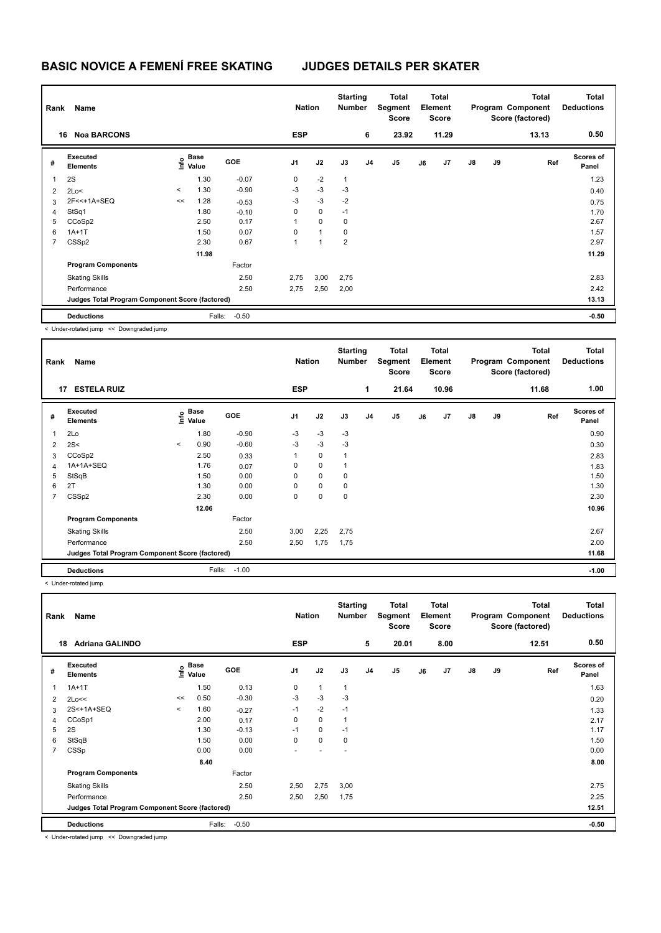| Rank | Name                                            | <b>Nation</b> |                                  | <b>Starting</b><br><b>Number</b> |                | Total<br>Segment<br><b>Score</b> |                | <b>Total</b><br>Element<br><b>Score</b> |                |    | <b>Total</b><br>Program Component<br>Score (factored) | Total<br><b>Deductions</b> |    |       |                           |
|------|-------------------------------------------------|---------------|----------------------------------|----------------------------------|----------------|----------------------------------|----------------|-----------------------------------------|----------------|----|-------------------------------------------------------|----------------------------|----|-------|---------------------------|
| 16   | <b>Noa BARCONS</b>                              |               |                                  |                                  | <b>ESP</b>     |                                  |                | 6                                       | 23.92          |    | 11.29                                                 |                            |    | 13.13 | 0.50                      |
| #    | Executed<br><b>Elements</b>                     |               | <b>Base</b><br>e Base<br>⊆ Value | <b>GOE</b>                       | J <sub>1</sub> | J2                               | J3             | J <sub>4</sub>                          | J <sub>5</sub> | J6 | J7                                                    | $\mathsf{J}8$              | J9 | Ref   | <b>Scores of</b><br>Panel |
| 1    | 2S                                              |               | 1.30                             | $-0.07$                          | 0              | $-2$                             | $\mathbf{1}$   |                                         |                |    |                                                       |                            |    |       | 1.23                      |
| 2    | 2Lo<                                            | $\prec$       | 1.30                             | $-0.90$                          | $-3$           | $-3$                             | $-3$           |                                         |                |    |                                                       |                            |    |       | 0.40                      |
| 3    | 2F<<+1A+SEQ                                     | <<            | 1.28                             | $-0.53$                          | $-3$           | $-3$                             | $-2$           |                                         |                |    |                                                       |                            |    |       | 0.75                      |
| 4    | StSq1                                           |               | 1.80                             | $-0.10$                          | 0              | $\mathbf 0$                      | $-1$           |                                         |                |    |                                                       |                            |    |       | 1.70                      |
| 5    | CCoSp2                                          |               | 2.50                             | 0.17                             |                | 0                                | 0              |                                         |                |    |                                                       |                            |    |       | 2.67                      |
| 6    | $1A+1T$                                         |               | 1.50                             | 0.07                             | 0              | $\mathbf{1}$                     | 0              |                                         |                |    |                                                       |                            |    |       | 1.57                      |
| 7    | CSS <sub>p2</sub>                               |               | 2.30                             | 0.67                             | 1              | 1                                | $\overline{2}$ |                                         |                |    |                                                       |                            |    |       | 2.97                      |
|      |                                                 |               | 11.98                            |                                  |                |                                  |                |                                         |                |    |                                                       |                            |    |       | 11.29                     |
|      | <b>Program Components</b>                       |               |                                  | Factor                           |                |                                  |                |                                         |                |    |                                                       |                            |    |       |                           |
|      | <b>Skating Skills</b>                           |               |                                  | 2.50                             | 2,75           | 3,00                             | 2,75           |                                         |                |    |                                                       |                            |    |       | 2.83                      |
|      | Performance                                     |               |                                  | 2.50                             | 2,75           | 2,50                             | 2,00           |                                         |                |    |                                                       |                            |    |       | 2.42                      |
|      | Judges Total Program Component Score (factored) |               |                                  |                                  |                |                                  |                |                                         |                |    |                                                       |                            |    |       | 13.13                     |
|      | <b>Deductions</b>                               |               | Falls:                           | $-0.50$                          |                |                                  |                |                                         |                |    |                                                       |                            |    |       | $-0.50$                   |

< Under-rotated jump << Downgraded jump

|                                                 | Name<br>Rank                |         |                                           |         |                |             | <b>Starting</b><br><b>Number</b> |                | <b>Total</b><br>Segment<br><b>Score</b> | Total<br>Element<br><b>Score</b> |       | Program Component<br>Score (factored) |    | <b>Total</b> | <b>Total</b><br><b>Deductions</b> |
|-------------------------------------------------|-----------------------------|---------|-------------------------------------------|---------|----------------|-------------|----------------------------------|----------------|-----------------------------------------|----------------------------------|-------|---------------------------------------|----|--------------|-----------------------------------|
|                                                 | 17<br><b>ESTELA RUIZ</b>    |         |                                           |         | <b>ESP</b>     |             |                                  | 1              | 21.64                                   |                                  | 10.96 |                                       |    | 11.68        | 1.00                              |
| #                                               | Executed<br><b>Elements</b> |         | $\frac{e}{E}$ Base<br>$\frac{E}{E}$ Value | GOE     | J <sub>1</sub> | J2          | J3                               | J <sub>4</sub> | J <sub>5</sub>                          | J6                               | J7    | $\mathsf{J}8$                         | J9 | Ref          | <b>Scores of</b><br>Panel         |
| 1                                               | 2Lo                         |         | 1.80                                      | $-0.90$ | -3             | $-3$        | -3                               |                |                                         |                                  |       |                                       |    |              | 0.90                              |
| $\overline{2}$                                  | 2S<                         | $\prec$ | 0.90                                      | $-0.60$ | $-3$           | $-3$        | $-3$                             |                |                                         |                                  |       |                                       |    |              | 0.30                              |
| 3                                               | CCoSp2                      |         | 2.50                                      | 0.33    |                | $\pmb{0}$   |                                  |                |                                         |                                  |       |                                       |    |              | 2.83                              |
| 4                                               | 1A+1A+SEQ                   |         | 1.76                                      | 0.07    | 0              | 0           |                                  |                |                                         |                                  |       |                                       |    |              | 1.83                              |
| 5                                               | StSqB                       |         | 1.50                                      | 0.00    | 0              | $\mathbf 0$ | 0                                |                |                                         |                                  |       |                                       |    |              | 1.50                              |
| 6                                               | 2T                          |         | 1.30                                      | 0.00    | 0              | $\mathbf 0$ | 0                                |                |                                         |                                  |       |                                       |    |              | 1.30                              |
| 7                                               | CSSp2                       |         | 2.30                                      | 0.00    | 0              | $\pmb{0}$   | 0                                |                |                                         |                                  |       |                                       |    |              | 2.30                              |
|                                                 |                             |         | 12.06                                     |         |                |             |                                  |                |                                         |                                  |       |                                       |    |              | 10.96                             |
|                                                 | <b>Program Components</b>   |         |                                           | Factor  |                |             |                                  |                |                                         |                                  |       |                                       |    |              |                                   |
|                                                 | <b>Skating Skills</b>       |         |                                           | 2.50    | 3,00           | 2,25        | 2,75                             |                |                                         |                                  |       |                                       |    |              | 2.67                              |
|                                                 | Performance                 |         |                                           | 2.50    | 2,50           | 1,75        | 1,75                             |                |                                         |                                  |       |                                       |    |              | 2.00                              |
| Judges Total Program Component Score (factored) |                             |         |                                           |         |                |             |                                  |                |                                         |                                  |       |                                       |    |              | 11.68                             |
|                                                 | <b>Deductions</b>           |         | Falls:                                    | $-1.00$ |                |             |                                  |                |                                         |                                  |       |                                       |    |              | $-1.00$                           |

< Under-rotated jump

| Rank           | Name                                            |         |                           |         |                | <b>Nation</b> |                          | <b>Starting</b><br><b>Number</b> | <b>Total</b><br>Segment<br><b>Score</b> | <b>Total</b><br>Element<br><b>Score</b> |      |               |    | <b>Total</b><br>Program Component<br>Score (factored) | <b>Total</b><br><b>Deductions</b> |
|----------------|-------------------------------------------------|---------|---------------------------|---------|----------------|---------------|--------------------------|----------------------------------|-----------------------------------------|-----------------------------------------|------|---------------|----|-------------------------------------------------------|-----------------------------------|
|                | <b>Adriana GALINDO</b><br>18                    |         |                           |         | <b>ESP</b>     |               |                          | 5                                | 20.01                                   |                                         | 8.00 |               |    | 12.51                                                 | 0.50                              |
| #              | Executed<br><b>Elements</b>                     |         | Base<br>o Base<br>E Value | GOE     | J <sub>1</sub> | J2            | J3                       | J <sub>4</sub>                   | J <sub>5</sub>                          | J6                                      | J7   | $\mathsf{J}8$ | J9 | Ref                                                   | Scores of<br>Panel                |
| 1              | $1A+1T$                                         |         | 1.50                      | 0.13    | 0              | $\mathbf{1}$  | $\overline{1}$           |                                  |                                         |                                         |      |               |    |                                                       | 1.63                              |
| $\overline{2}$ | 2Lo<<                                           | <<      | 0.50                      | $-0.30$ | $-3$           | $-3$          | $-3$                     |                                  |                                         |                                         |      |               |    |                                                       | 0.20                              |
| 3              | 2S<+1A+SEQ                                      | $\prec$ | 1.60                      | $-0.27$ | $-1$           | $-2$          | $-1$                     |                                  |                                         |                                         |      |               |    |                                                       | 1.33                              |
| 4              | CCoSp1                                          |         | 2.00                      | 0.17    | 0              | $\mathbf 0$   | 1                        |                                  |                                         |                                         |      |               |    |                                                       | 2.17                              |
| 5              | 2S                                              |         | 1.30                      | $-0.13$ | $-1$           | 0             | $-1$                     |                                  |                                         |                                         |      |               |    |                                                       | 1.17                              |
| 6              | StSqB                                           |         | 1.50                      | 0.00    | 0              | $\mathbf 0$   | 0                        |                                  |                                         |                                         |      |               |    |                                                       | 1.50                              |
| 7              | CSSp                                            |         | 0.00                      | 0.00    |                |               | $\overline{\phantom{a}}$ |                                  |                                         |                                         |      |               |    |                                                       | 0.00                              |
|                |                                                 |         | 8.40                      |         |                |               |                          |                                  |                                         |                                         |      |               |    |                                                       | 8.00                              |
|                | <b>Program Components</b>                       |         |                           | Factor  |                |               |                          |                                  |                                         |                                         |      |               |    |                                                       |                                   |
|                | <b>Skating Skills</b>                           |         |                           | 2.50    | 2,50           | 2,75          | 3,00                     |                                  |                                         |                                         |      |               |    |                                                       | 2.75                              |
|                | Performance                                     |         |                           | 2.50    | 2,50           | 2,50          | 1,75                     |                                  |                                         |                                         |      |               |    |                                                       | 2.25                              |
|                | Judges Total Program Component Score (factored) |         |                           |         |                |               |                          |                                  |                                         |                                         |      | 12.51         |    |                                                       |                                   |
|                | <b>Deductions</b>                               |         | Falls:                    | $-0.50$ |                |               |                          |                                  |                                         |                                         |      |               |    |                                                       | $-0.50$                           |

< Under-rotated jump << Downgraded jump